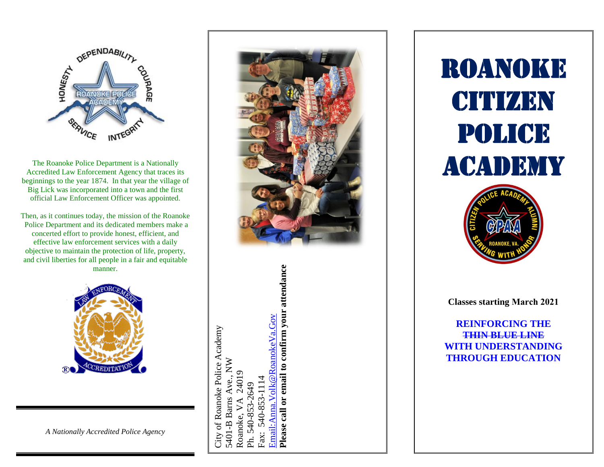

The Roanoke Police Department is a Nationally Accredited Law Enforcement Agency that traces its beginning s to the year 1874. In that year the village of Big Lick was incorporated into a town and the first official Law Enforcement Officer was appointed.

Then, as it continues today, the mission of the Roanok e Police Department and its dedicated members make a concerted effort to provide honest, efficient, and effective law enforcement services with a daily objective to maintain the protection of life, property, and civil liberties for all people in a fair and equitable manner.



Please call or email to confirm your attendance **Please call or email to confirm your attendance** Email: Anna, Volk@RoanokeVa.Gov [Email:Anna.Volk@RoanokeVa.Gov](mailto:Anna.Volk@RoanokeVa.Gov) City of Roanoke Police Academy City of Roanoke Police Academy  $\mathop{\rm NN}\nolimits$ 5401-B Barns Ave., NW 24019 Roanoke, VA 24019 Ave., 540-853-1114 Fax: 540-853-1114 Ph. 540-853-2649 5401-B Barns Roanoke, Fax:



**Classes starting March 2021**

**REINFORCING THE THIN BLUE LINE WITH UNDERSTANDING THROUGH EDUCATION**

ROANOKE

CITIZEN

POLICE

ACADEMY

*A Nationally Accredited Police Agency*